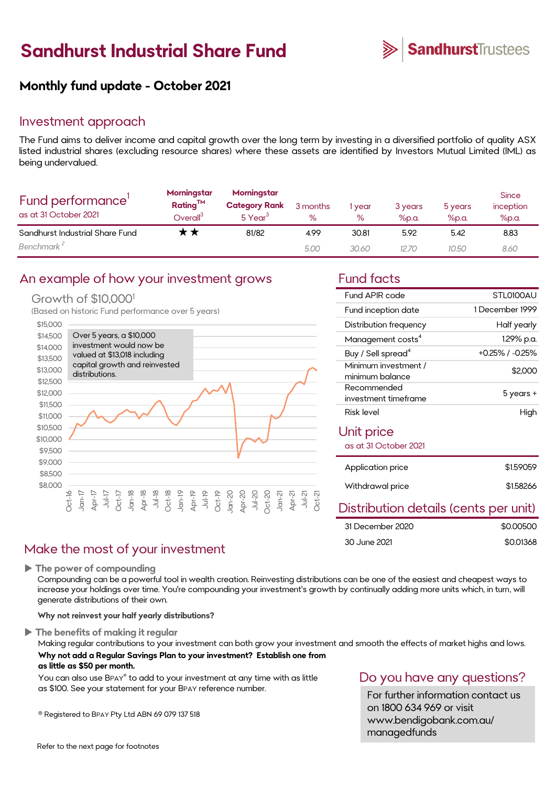# **Sandhurst Industrial Share Fund**



# **Monthly fund update - October 2021**

## Investment approach

The Fund aims to deliver income and capital growth over the long term by investing in a diversified portfolio of quality ASX listed industrial shares (excluding resource shares) where these assets are identified by Investors Mutual Limited (IML) as being undervalued.

| Fund performance'<br>as at 31 October 2021 | Morningstar<br>Rating <sup>TM</sup><br>$\mathsf{D}$ verall $^3$ | Morningstar<br><b>Category Rank</b><br>5 Year <sup>3</sup> | 3 months<br>℅ | year<br>$\%$ | 3 years<br>$%$ p.a. | 5 years<br>$%$ p.a. | <b>Since</b><br>inception<br>$%$ p.a. |
|--------------------------------------------|-----------------------------------------------------------------|------------------------------------------------------------|---------------|--------------|---------------------|---------------------|---------------------------------------|
| Sandhurst Industrial Share Fund            | ₹ <del>x</del>                                                  | 81/82                                                      | 4.99          | 30.81        | 5.92                | 5.42                | 8.83                                  |
| Benchmark <sup>2</sup>                     |                                                                 |                                                            | 5.00          | 30.60        | 12.70               | 10.50               | 8.60                                  |

## An example of how your investment grows Fund facts

### Growth of \$10,000<sup>1</sup>

(Based on historic Fund performance over 5 years)



| Fund APIR code                          | STL0100AU             |
|-----------------------------------------|-----------------------|
| Fund inception date                     | 1 December 1999       |
| Distribution frequency                  | Half yearly           |
| Management costs <sup>4</sup>           | 1.29% p.a.            |
| Buy / Sell spread <sup>4</sup>          | $+0.25\%$ / $-0.25\%$ |
| Minimum investment /<br>minimum balance | \$2,000               |
| Recommended<br>investment timeframe     | 5 years +             |
| Risk level                              | High                  |
| Unit price<br>as at 31 October 2021     |                       |
| Application price                       | \$1,59059             |
| Withdrawal price                        | \$1.58266             |

## Distribution details (cents per unit)

| 31 December 2020 | \$0,00500 |
|------------------|-----------|
| 30 June 2021     | \$0.01368 |

# Make the most of your investment

**The power of compounding**

Compounding can be a powerful tool in wealth creation. Reinvesting distributions can be one of the easiest and cheapest ways to increase your holdings over time. You're compounding your investment's growth by continually adding more units which, in turn, will generate distributions of their own.

**Why not reinvest your half yearly distributions?**

**The benefits of making it regular**

Making regular contributions to your investment can both grow your investment and smooth the effects of market highs and lows. **Why not add a Regular Savings Plan to your investment? Establish one from as little as \$50 per month.** 

You can also use BPAY® to add to your investment at any time with as little as \$100. See your statement for your BPAY reference number.

® Registered to BPAY Pty Ltd ABN 69 079 137 518

# Do you have any questions?

For further information contact us on 1800 634 969 or visit www.bendigobank.com.au/ managedfunds